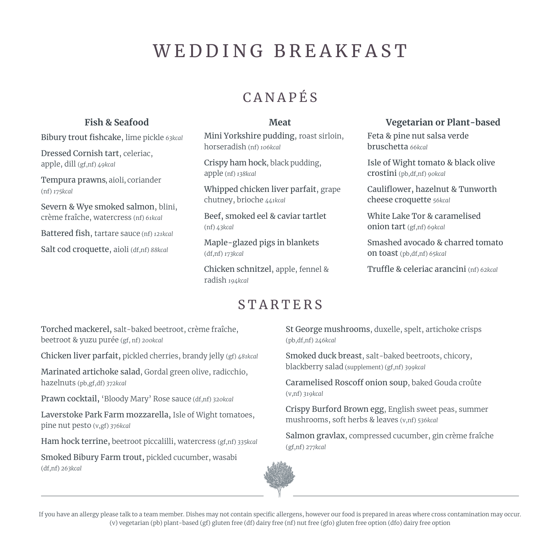# WEDDING BREAKFAST

## CANAPÉS

#### **Fish & Seafood**

Bibury trout fishcake, lime pickle *63kcal*

Dressed Cornish tart, celeriac, apple, dill (gf,nf) *49kcal*

Tempura prawns, aioli, coriander (nf) *175kcal*

Severn & Wye smoked salmon, blini, crème fraîche, watercress (nf) *61kcal*

Battered fish, tartare sauce (nf) *121kcal*

Salt cod croquette, aioli (df,nf) *88kcal*

#### **Meat**

Mini Yorkshire pudding, roast sirloin, horseradish (nf) *106kcal* 

Crispy ham hock, black pudding, apple (nf) *138kcal*

Whipped chicken liver parfait, grape chutney, brioche *441kcal*

Beef, smoked eel & caviar tartlet (nf) *43kcal*

Maple-glazed pigs in blankets (df,nf) *173kcal*

Chicken schnitzel, apple, fennel & radish *194kcal*

#### **Vegetarian or Plant-based**

Feta & pine nut salsa verde bruschetta *66kcal* 

Isle of Wight tomato & black olive crostini (pb,df,nf) *90kcal*

Cauliflower, hazelnut & Tunworth cheese croquette *56kcal*

White Lake Tor & caramelised onion tart (gf,nf) *69kcal*

Smashed avocado & charred tomato on toast (pb,df,nf) *65kcal* 

Truffle & celeriac arancini (nf) *62kcal*

### **STARTERS**

Torched mackerel, salt-baked beetroot, crème fraîche, beetroot & yuzu purée (gf, nf) *200kcal*

Chicken liver parfait, pickled cherries, brandy jelly (gf) *481kcal*

Marinated artichoke salad, Gordal green olive, radicchio, hazelnuts (pb,gf,df) *372kcal*

Prawn cocktail, 'Bloody Mary' Rose sauce (df,nf) *320kcal*

Laverstoke Park Farm mozzarella, Isle of Wight tomatoes, pine nut pesto (v,gf) *376kcal*

Ham hock terrine, beetroot piccalilli, watercress (gf,nf) *335kcal*

Smoked Bibury Farm trout, pickled cucumber, wasabi (df,nf) *263kcal* 

St George mushrooms, duxelle, spelt, artichoke crisps (pb,df,nf) *246kcal*

Smoked duck breast, salt-baked beetroots, chicory, blackberry salad (supplement) (gf,nf) *399kcal*

Caramelised Roscoff onion soup, baked Gouda croûte (v,nf) *319kcal*

Crispy Burford Brown egg, English sweet peas, summer mushrooms, soft herbs & leaves (v,nf) *536kcal*

Salmon gravlax, compressed cucumber, gin crème fraîche (gf,nf) *277kcal*



If you have an allergy please talk to a team member. Dishes may not contain specific allergens, however our food is prepared in areas where cross contamination may occur. (v) vegetarian (pb) plant-based (gf) gluten free (df) dairy free (nf) nut free (gfo) gluten free option (dfo) dairy free option